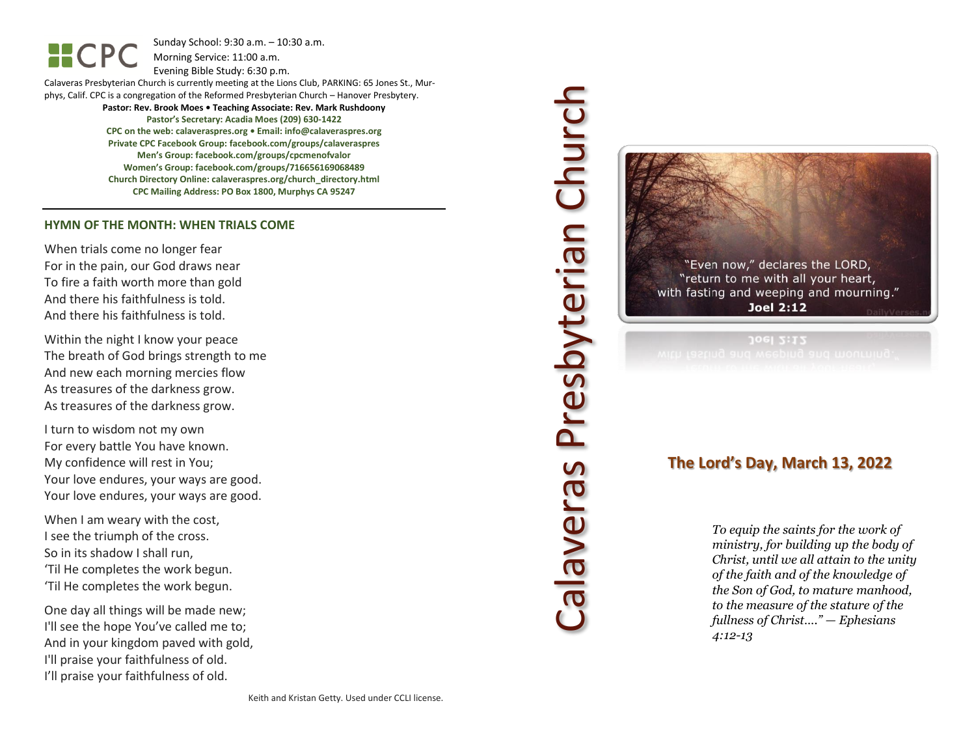Sunday School: 9: 3 0 a.m. – 10:30 a.m. Morning Service: 1 1 :00 a.m.

Evening Bible Study: 6: 30 p.m.

Calaveras Presbyterian Church is currently meeting at the Lions Club, PARKING: 65 Jones St., Murphys, Calif. CPC is a congregation of the Reformed Presbyterian Church – Hanover Presbytery.

**Pastor: Rev. Brook Moes • Teaching Associate: Rev. Mark Rushdoony Pastor's Secretary: Acadia Moes (209) 630 -1422 CPC on the web: calaveraspres.org • Email: [info@calaveraspres.org](mailto:info@calaveraspres.org) Private CPC Facebook Group: facebook.com/groups/calaveraspres Men's Group: facebook.com/groups/cpcmenofvalor Women's Group: facebook.com/groups/716656169068489 Church Directory Online: calaveraspres.org/church \_directory.html CPC Mailing Address: PO Box 1800, Murphys CA 95247**

### **HYMN OF THE MONTH: WHEN TRIALS COME**

When trials come no longer fear For in the pain , our God draws near To fire a faith worth more than gold And there his faithfulness is told . And there his faithfulness is told.

Within the night I know your peace The breath of God brings strength to me And new each morning mercies flow As treasures of the darkness grow. As treasures of the darkness grow .

I turn to wisdom not my own For every battle You have known . My confidence will rest in You ; Your love endures, your ways are good . Your love endures, your ways are good.

When I am weary with the cost , I see the triumph of the cross. So in its shadow I shall run , 'Til He complete s the work begun . 'Til He completes the work begun.

One day all things will be made new ; I'll see the hope You've called me to; And in your kingdom paved with gold , I'll praise your faithfulness of old . I'll praise your faithfulness of old.

# Calaveras Presbyterian Church Calaveras Presbyterian Church



## **The Lord's Day, March 13, 202 2**

*To equip the saints for the work of ministry, for building up the body of Christ, until we all attain to the unity of the faith and of the knowledge of the Son of God, to mature manhood, to the measure of the stature of the fullness of Christ…." — Ephesians 4:12 -13*